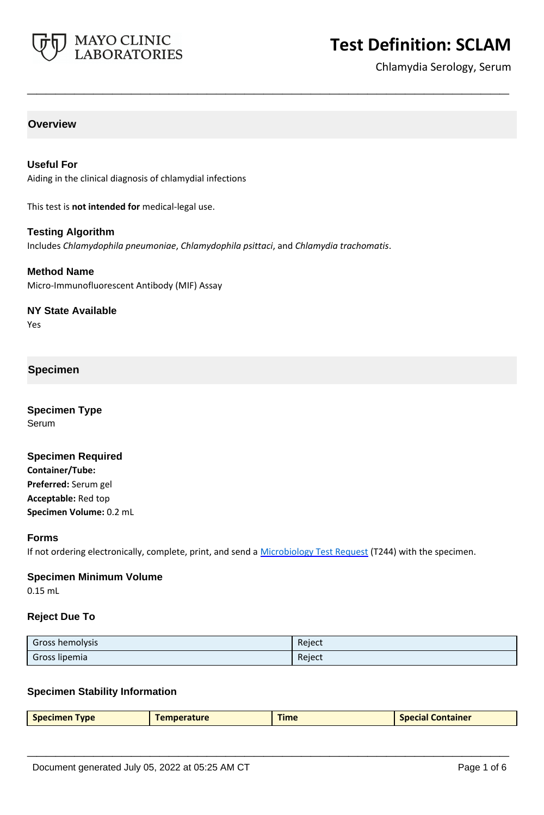

# **Test Definition: SCLAM**

Chlamydia Serology, Serum

# **Overview**

## **Useful For**

Aiding in the clinical diagnosis of chlamydial infections

This test is **not intended for** medical-legal use.

## **Testing Algorithm**

Includes *Chlamydophila pneumoniae*, *Chlamydophila psittaci*, and *Chlamydia trachomatis*.

**\_\_\_\_\_\_\_\_\_\_\_\_\_\_\_\_\_\_\_\_\_\_\_\_\_\_\_\_\_\_\_\_\_\_\_\_\_\_\_\_\_\_\_\_\_\_\_\_\_\_\_**

#### **Method Name**

Micro-Immunofluorescent Antibody (MIF) Assay

## **NY State Available**

Yes

# **Specimen**

**Specimen Type** Serum

## **Specimen Required**

**Container/Tube: Preferred:** Serum gel **Acceptable:** Red top **Specimen Volume:** 0.2 mL

#### **Forms**

If not ordering electronically, complete, print, and send a [Microbiology Test Request](https://www.mayocliniclabs.com/it-mmfiles/Microbiology_Test_Request_Form.pdf) (T244) with the specimen.

## **Specimen Minimum Volume**

0.15 mL

## **Reject Due To**

| Gross hemolysis | Reject |
|-----------------|--------|
| Gross lipemia   | Reject |

## **Specimen Stability Information**

|  | <b>Specimen Type</b> | <b>Temperature</b> | Time | <b>Special Container</b> |
|--|----------------------|--------------------|------|--------------------------|
|--|----------------------|--------------------|------|--------------------------|

**\_\_\_\_\_\_\_\_\_\_\_\_\_\_\_\_\_\_\_\_\_\_\_\_\_\_\_\_\_\_\_\_\_\_\_\_\_\_\_\_\_\_\_\_\_\_\_\_\_\_\_**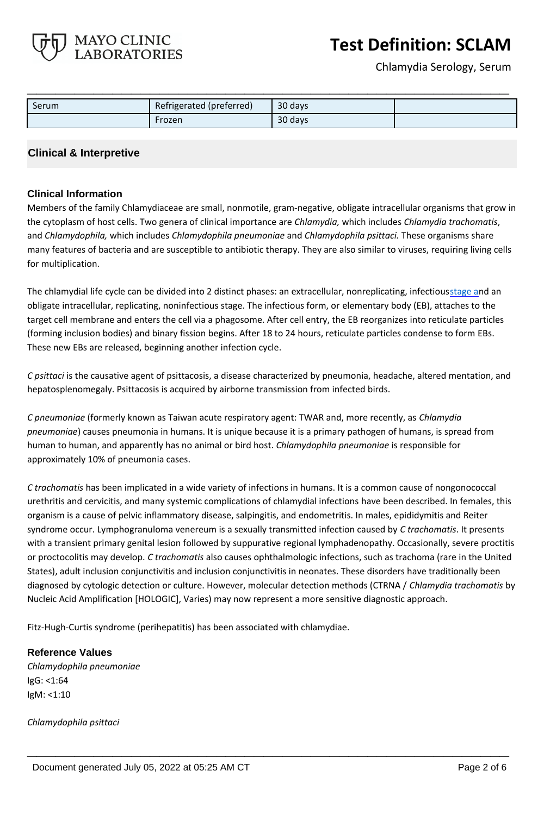**Test Definition: SCLAM**

Chlamydia Serology, Serum

| Serum | Refrigerated (preferred) | 30 days |  |
|-------|--------------------------|---------|--|
|       | Frozen                   | 30 days |  |

**\_\_\_\_\_\_\_\_\_\_\_\_\_\_\_\_\_\_\_\_\_\_\_\_\_\_\_\_\_\_\_\_\_\_\_\_\_\_\_\_\_\_\_\_\_\_\_\_\_\_\_**

## **Clinical & Interpretive**

MAYO CLINIC **LABORATORIES** 

#### **Clinical Information**

Members of the family Chlamydiaceae are small, nonmotile, gram-negative, obligate intracellular organisms that grow in the cytoplasm of host cells. Two genera of clinical importance are *Chlamydia,* which includes *Chlamydia trachomatis*, and *Chlamydophila,* which includes *Chlamydophila pneumoniae* and *Chlamydophila psittaci.* These organisms share many features of bacteria and are susceptible to antibiotic therapy. They are also similar to viruses, requiring living cells for multiplication.

The chlamydial life cycle can be divided into 2 distinct phases: an extracellular, nonreplicating, infectiousstage and an obligate intracellular, replicating, noninfectious stage. The infectious form, or elementary body (EB), attaches to the target cell membrane and enters the cell via a phagosome. After cell entry, the EB reorganizes into reticulate particles (forming inclusion bodies) and binary fission begins. After 18 to 24 hours, reticulate particles condense to form EBs. These new EBs are released, beginning another infection cycle.

*C psittaci* is the causative agent of psittacosis, a disease characterized by pneumonia, headache, altered mentation, and hepatosplenomegaly. Psittacosis is acquired by airborne transmission from infected birds.

*C pneumoniae* (formerly known as Taiwan acute respiratory agent: TWAR and, more recently, as *Chlamydia pneumoniae*) causes pneumonia in humans. It is unique because it is a primary pathogen of humans, is spread from human to human, and apparently has no animal or bird host. *Chlamydophila pneumoniae* is responsible for approximately 10% of pneumonia cases.

*C trachomatis* has been implicated in a wide variety of infections in humans. It is a common cause of nongonococcal urethritis and cervicitis, and many systemic complications of chlamydial infections have been described. In females, this organism is a cause of pelvic inflammatory disease, salpingitis, and endometritis. In males, epididymitis and Reiter syndrome occur. Lymphogranuloma venereum is a sexually transmitted infection caused by *C trachomatis*. It presents with a transient primary genital lesion followed by suppurative regional lymphadenopathy. Occasionally, severe proctitis or proctocolitis may develop. *C trachomatis* also causes ophthalmologic infections, such as trachoma (rare in the United States), adult inclusion conjunctivitis and inclusion conjunctivitis in neonates. These disorders have traditionally been diagnosed by cytologic detection or culture. However, molecular detection methods (CTRNA / *Chlamydia trachomatis* by Nucleic Acid Amplification [HOLOGIC], Varies) may now represent a more sensitive diagnostic approach.

**\_\_\_\_\_\_\_\_\_\_\_\_\_\_\_\_\_\_\_\_\_\_\_\_\_\_\_\_\_\_\_\_\_\_\_\_\_\_\_\_\_\_\_\_\_\_\_\_\_\_\_**

Fitz-Hugh-Curtis syndrome (perihepatitis) has been associated with chlamydiae.

#### **Reference Values**

*Chlamydophila pneumoniae* IgG: <1:64 IgM: <1:10

*Chlamydophila psittaci*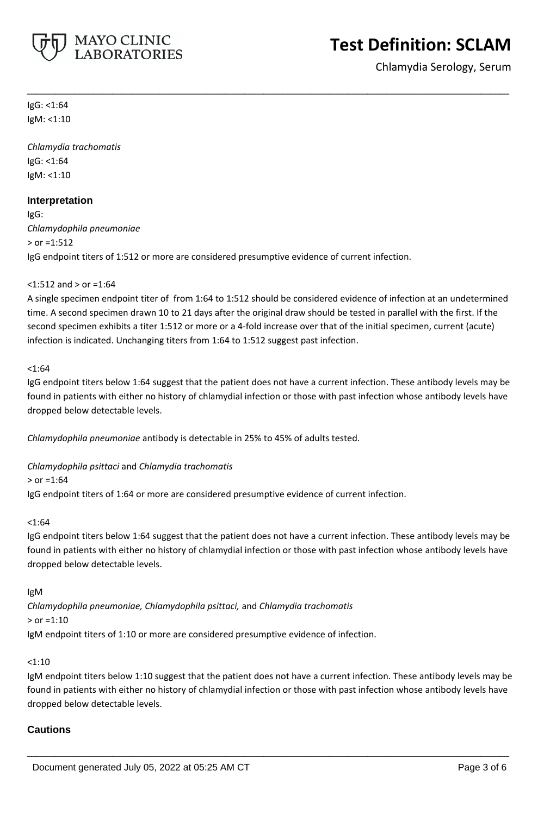

Chlamydia Serology, Serum

IgG: <1:64 IgM: <1:10

*Chlamydia trachomatis* IgG: <1:64 IgM: <1:10

## **Interpretation**

IgG: *Chlamydophila pneumoniae*  $>$  or =1:512 IgG endpoint titers of 1:512 or more are considered presumptive evidence of current infection.

## <1:512 and > or =1:64

A single specimen endpoint titer of from 1:64 to 1:512 should be considered evidence of infection at an undetermined time. A second specimen drawn 10 to 21 days after the original draw should be tested in parallel with the first. If the second specimen exhibits a titer 1:512 or more or a 4-fold increase over that of the initial specimen, current (acute) infection is indicated. Unchanging titers from 1:64 to 1:512 suggest past infection.

**\_\_\_\_\_\_\_\_\_\_\_\_\_\_\_\_\_\_\_\_\_\_\_\_\_\_\_\_\_\_\_\_\_\_\_\_\_\_\_\_\_\_\_\_\_\_\_\_\_\_\_**

#### $< 1:64$

IgG endpoint titers below 1:64 suggest that the patient does not have a current infection. These antibody levels may be found in patients with either no history of chlamydial infection or those with past infection whose antibody levels have dropped below detectable levels.

*Chlamydophila pneumoniae* antibody is detectable in 25% to 45% of adults tested.

*Chlamydophila psittaci* and *Chlamydia trachomatis*

 $>$  or =1:64

IgG endpoint titers of 1:64 or more are considered presumptive evidence of current infection.

## $< 1:64$

IgG endpoint titers below 1:64 suggest that the patient does not have a current infection. These antibody levels may be found in patients with either no history of chlamydial infection or those with past infection whose antibody levels have dropped below detectable levels.

IgM

*Chlamydophila pneumoniae, Chlamydophila psittaci,* and *Chlamydia trachomatis* > or =1:10

IgM endpoint titers of 1:10 or more are considered presumptive evidence of infection.

## <1:10

IgM endpoint titers below 1:10 suggest that the patient does not have a current infection. These antibody levels may be found in patients with either no history of chlamydial infection or those with past infection whose antibody levels have dropped below detectable levels.

**\_\_\_\_\_\_\_\_\_\_\_\_\_\_\_\_\_\_\_\_\_\_\_\_\_\_\_\_\_\_\_\_\_\_\_\_\_\_\_\_\_\_\_\_\_\_\_\_\_\_\_**

## **Cautions**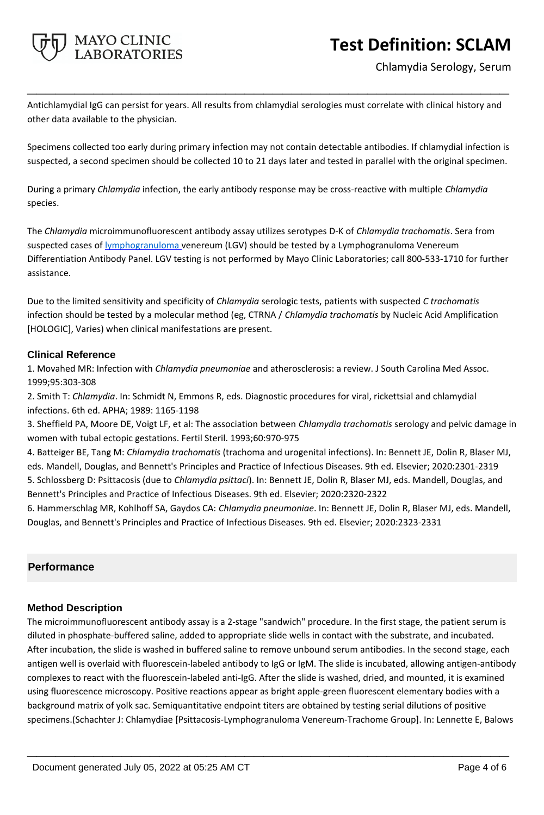

Chlamydia Serology, Serum

Antichlamydial IgG can persist for years. All results from chlamydial serologies must correlate with clinical history and other data available to the physician.

**\_\_\_\_\_\_\_\_\_\_\_\_\_\_\_\_\_\_\_\_\_\_\_\_\_\_\_\_\_\_\_\_\_\_\_\_\_\_\_\_\_\_\_\_\_\_\_\_\_\_\_**

Specimens collected too early during primary infection may not contain detectable antibodies. If chlamydial infection is suspected, a second specimen should be collected 10 to 21 days later and tested in parallel with the original specimen.

During a primary *Chlamydia* infection, the early antibody response may be cross-reactive with multiple *Chlamydia* species.

The *Chlamydia* microimmunofluorescent antibody assay utilizes serotypes D-K of *Chlamydia trachomatis*. Sera from suspected cases of lymphogranuloma venereum (LGV) should be tested by a Lymphogranuloma Venereum Differentiation Antibody Panel. LGV testing is not performed by Mayo Clinic Laboratories; call 800-533-1710 for further assistance.

Due to the limited sensitivity and specificity of *Chlamydia* serologic tests, patients with suspected *C trachomatis* infection should be tested by a molecular method (eg, CTRNA / *Chlamydia trachomatis* by Nucleic Acid Amplification [HOLOGIC], Varies) when clinical manifestations are present.

## **Clinical Reference**

1. Movahed MR: Infection with *Chlamydia pneumoniae* and atherosclerosis: a review. J South Carolina Med Assoc. 1999;95:303-308

2. Smith T: *Chlamydia*. In: Schmidt N, Emmons R, eds. Diagnostic procedures for viral, rickettsial and chlamydial infections. 6th ed. APHA; 1989: 1165-1198

3. Sheffield PA, Moore DE, Voigt LF, et al: The association between *Chlamydia trachomatis* serology and pelvic damage in women with tubal ectopic gestations. Fertil Steril. 1993;60:970-975

4. Batteiger BE, Tang M: *Chlamydia trachomatis* (trachoma and urogenital infections). In: Bennett JE, Dolin R, Blaser MJ, eds. Mandell, Douglas, and Bennett's Principles and Practice of Infectious Diseases. 9th ed. Elsevier; 2020:2301-2319 5. Schlossberg D: Psittacosis (due to *Chlamydia psittaci*). In: Bennett JE, Dolin R, Blaser MJ, eds. Mandell, Douglas, and Bennett's Principles and Practice of Infectious Diseases. 9th ed. Elsevier; 2020:2320-2322

6. Hammerschlag MR, Kohlhoff SA, Gaydos CA: *Chlamydia pneumoniae*. In: Bennett JE, Dolin R, Blaser MJ, eds. Mandell, Douglas, and Bennett's Principles and Practice of Infectious Diseases. 9th ed. Elsevier; 2020:2323-2331

# **Performance**

# **Method Description**

The microimmunofluorescent antibody assay is a 2-stage "sandwich" procedure. In the first stage, the patient serum is diluted in phosphate-buffered saline, added to appropriate slide wells in contact with the substrate, and incubated. After incubation, the slide is washed in buffered saline to remove unbound serum antibodies. In the second stage, each antigen well is overlaid with fluorescein-labeled antibody to IgG or IgM. The slide is incubated, allowing antigen-antibody complexes to react with the fluorescein-labeled anti-IgG. After the slide is washed, dried, and mounted, it is examined using fluorescence microscopy. Positive reactions appear as bright apple-green fluorescent elementary bodies with a background matrix of yolk sac. Semiquantitative endpoint titers are obtained by testing serial dilutions of positive specimens.(Schachter J: Chlamydiae [Psittacosis-Lymphogranuloma Venereum-Trachome Group]. In: Lennette E, Balows

**\_\_\_\_\_\_\_\_\_\_\_\_\_\_\_\_\_\_\_\_\_\_\_\_\_\_\_\_\_\_\_\_\_\_\_\_\_\_\_\_\_\_\_\_\_\_\_\_\_\_\_**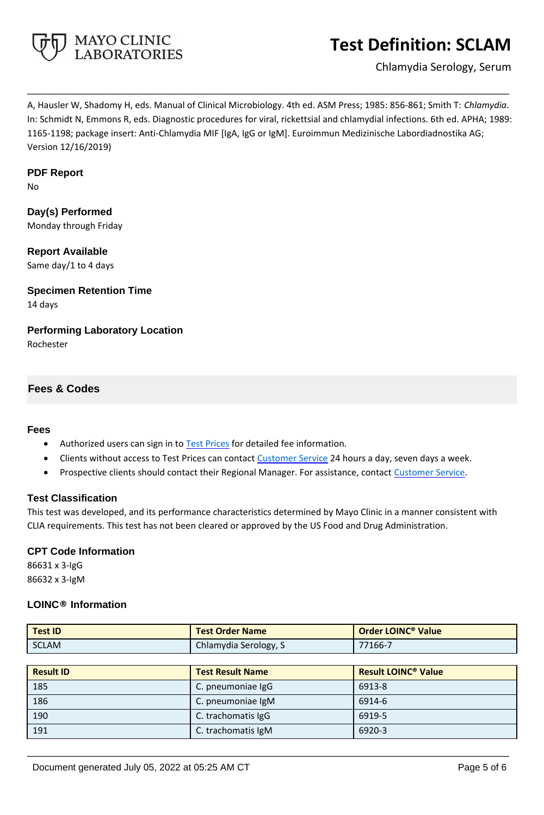

# **Test Definition: SCLAM**

Chlamydia Serology, Serum

A, Hausler W, Shadomy H, eds. Manual of Clinical Microbiology. 4th ed. ASM Press; 1985: 856-861; Smith T: *Chlamydia*. In: Schmidt N, Emmons R, eds. Diagnostic procedures for viral, rickettsial and chlamydial infections. 6th ed. APHA; 1989: 1165-1198; package insert: Anti-Chlamydia MIF [IgA, IgG or IgM]. Euroimmun Medizinische Labordiadnostika AG; Version 12/16/2019)

**\_\_\_\_\_\_\_\_\_\_\_\_\_\_\_\_\_\_\_\_\_\_\_\_\_\_\_\_\_\_\_\_\_\_\_\_\_\_\_\_\_\_\_\_\_\_\_\_\_\_\_**

#### **PDF Report**

No

**Day(s) Performed** Monday through Friday

**Report Available** Same day/1 to 4 days

**Specimen Retention Time** 14 days

**Performing Laboratory Location** Rochester

## **Fees & Codes**

#### **Fees**

- Authorized users can sign in to [Test Prices](https://www.mayocliniclabs.com/customer-service/client-price-lookup/index.html?unit_code=SCLAM) for detailed fee information.
- Clients without access to Test Prices can contact [Customer Service](http://www.mayocliniclabs.com/customer-service/contacts.html) 24 hours a day, seven days a week.
- **Prospective clients should contact their Regional Manager. For assistance, contact [Customer Service.](http://www.mayocliniclabs.com/customer-service/contacts.html)**

## **Test Classification**

This test was developed, and its performance characteristics determined by Mayo Clinic in a manner consistent with CLIA requirements. This test has not been cleared or approved by the US Food and Drug Administration.

## **CPT Code Information**

86631 x 3-IgG 86632 x 3-IgM

## **LOINC® Information**

| <b>Test ID</b>   | <b>Test Order Name</b>  | Order LOINC <sup>®</sup> Value        |
|------------------|-------------------------|---------------------------------------|
| <b>SCLAM</b>     | Chlamydia Serology, S   | 77166-7                               |
|                  |                         |                                       |
| <b>Result ID</b> | <b>Test Result Name</b> | <b>Result LOINC<sup>®</sup> Value</b> |
| 185              | C. pneumoniae IgG       | 6913-8                                |
| 186              | C. pneumoniae IgM       | 6914-6                                |
| 190              | C. trachomatis IgG      | 6919-5                                |
| 191              | C. trachomatis IgM      | 6920-3                                |

**\_\_\_\_\_\_\_\_\_\_\_\_\_\_\_\_\_\_\_\_\_\_\_\_\_\_\_\_\_\_\_\_\_\_\_\_\_\_\_\_\_\_\_\_\_\_\_\_\_\_\_**